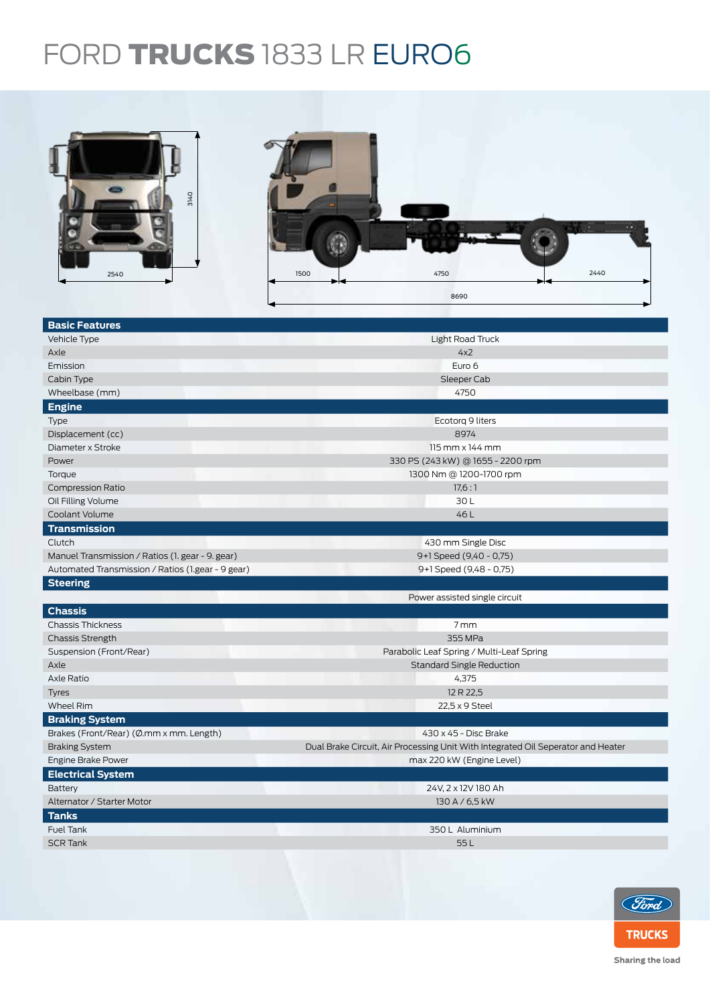## FORD TRUCKS 1833 LR EURO6



| <b>Basic Features</b>                             |                                                                                  |  |  |
|---------------------------------------------------|----------------------------------------------------------------------------------|--|--|
| Vehicle Type                                      | Light Road Truck                                                                 |  |  |
| Axle                                              | 4x2                                                                              |  |  |
| Emission                                          | Euro 6                                                                           |  |  |
| Cabin Type                                        | Sleeper Cab                                                                      |  |  |
| Wheelbase (mm)                                    | 4750                                                                             |  |  |
| <b>Engine</b>                                     |                                                                                  |  |  |
| Type                                              | Ecotorq 9 liters                                                                 |  |  |
| Displacement (cc)                                 | 8974                                                                             |  |  |
| Diameter x Stroke                                 | $115$ mm $\times$ 144 mm                                                         |  |  |
| Power                                             | 330 PS (243 kW) @ 1655 - 2200 rpm                                                |  |  |
| Torque                                            | 1300 Nm @ 1200-1700 rpm                                                          |  |  |
| <b>Compression Ratio</b>                          | 17,6:1                                                                           |  |  |
| Oil Filling Volume                                | 30L                                                                              |  |  |
| Coolant Volume                                    | 46L                                                                              |  |  |
| <b>Transmission</b>                               |                                                                                  |  |  |
| Clutch                                            | 430 mm Single Disc                                                               |  |  |
| Manuel Transmission / Ratios (1. gear - 9. gear)  | 9+1 Speed (9,40 - 0,75)                                                          |  |  |
| Automated Transmission / Ratios (1.gear - 9 gear) | 9+1 Speed (9,48 - 0,75)                                                          |  |  |
| <b>Steering</b>                                   |                                                                                  |  |  |
|                                                   | Power assisted single circuit                                                    |  |  |
| <b>Chassis</b>                                    |                                                                                  |  |  |
| <b>Chassis Thickness</b>                          | 7mm                                                                              |  |  |
| <b>Chassis Strength</b>                           | 355 MPa                                                                          |  |  |
| Suspension (Front/Rear)                           | Parabolic Leaf Spring / Multi-Leaf Spring                                        |  |  |
| Axle                                              | <b>Standard Single Reduction</b>                                                 |  |  |
| Axle Ratio                                        | 4,375                                                                            |  |  |
| <b>Tyres</b>                                      | 12 R 22,5                                                                        |  |  |
| <b>Wheel Rim</b>                                  | 22,5 x 9 Steel                                                                   |  |  |
| <b>Braking System</b>                             |                                                                                  |  |  |
| Brakes (Front/Rear) (Ø.mm x mm. Length)           | 430 x 45 - Disc Brake                                                            |  |  |
| <b>Braking System</b>                             | Dual Brake Circuit, Air Processing Unit With Integrated Oil Seperator and Heater |  |  |
| Engine Brake Power                                | max 220 kW (Engine Level)                                                        |  |  |
| <b>Electrical System</b>                          |                                                                                  |  |  |
| Battery                                           | 24V, 2 x 12V 180 Ah                                                              |  |  |
| Alternator / Starter Motor                        | 130 A / 6,5 kW                                                                   |  |  |
| <b>Tanks</b>                                      |                                                                                  |  |  |
| Fuel Tank                                         | 350 L Aluminium                                                                  |  |  |
| <b>SCR Tank</b>                                   | 55L                                                                              |  |  |
|                                                   |                                                                                  |  |  |
|                                                   |                                                                                  |  |  |



Sharing the load